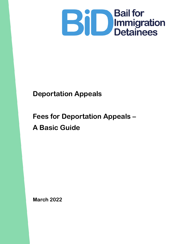

# **Deportation Appeals**

# **Fees for Deportation Appeals – A Basic Guide**

**March 2022**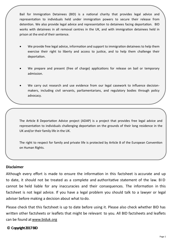Bail for Immigration Detainees (BID) is a national charity that provides legal advice and representation to individuals held under immigration powers to secure their release from detention. We also provide legal advice and representation to detainees facing deportation. BID works with detainees in all removal centres in the UK, and with immigration detainees held in prison at the end of their sentence.

- We provide free legal advice, information and support to immigration detainees to help them exercise their right to liberty and access to justice, and to help them challenge their deportation.
- We prepare and present (free of charge) applications for release on bail or temporary admission.
- We carry out research and use evidence from our legal casework to influence decisionmakers, including civil servants, parliamentarians, and regulatory bodies through policy advocacy.

The Article 8 Deportation Advice project (ADAP) is a project that provides free legal advice and representation to individuals challenging deportation on the grounds of their long residence in the UK and/or their family life in the UK.

The right to respect for family and private life is protected by Article 8 of the European Convention on Human Rights.

#### **Disclaimer**

Although every effort is made to ensure the information in this factsheet is accurate and up to date, it should not be treated as a complete and authoritative statement of the law. B ID cannot be held liable for any inaccuracies and their consequences. The information in this factsheet is not legal advice. If you have a legal problem you should talk to a lawyer or legal adviser before making a decision about what to do.

Please check that this factsheet is up to date before using it. Please also check whether BID has written other factsheets or leaflets that might be relevant to you. All BID factsheets and leaflets can be found at[www.biduk.org](http://www.biduk.org/)

### **© Copyright 2017 BID**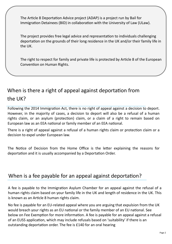The Article 8 Deportation Advice project (ADAP) is a project run by Bail for Immigration Detainees (BID) in collaboration with the University of Law (ULaw).

The project provides free legal advice and representation to individuals challenging deportation on the grounds of their long residence in the UK and/or their family life in the UK.

The right to respect for family and private life is protected by Article 8 of the European Convention on Human Rights.

# When is there a right of appeal against deportation from the UK?

Following the 2014 Immigration Act, there is no right of appeal against a decision to deport. However, in the majority of cases, a decision to deport will also be a refusal of a human rights claim, or an asylum (protection) claim, or a claim of a right to remain based on European law as an EEA national or family member of an EEA national.

There is a right of appeal against a refusal of a human rights claim or protection claim or a decision to expel under European law.

The Notice of Decision from the Home Office is the letter explaining the reasons for deportation and it is usually accompanied by a Deportation Order.

### When is a fee payable for an appeal against deportation?

A fee is payable to the Immigration Asylum Chamber for an appeal against the refusal of a human rights claim based on your family life in the UK and length of residence in the UK. This is known as an Article 8 human rights claim.

No fee is payable for an EU-related appeal where you are arguing that expulsion from the UK would breach your rights as an EU national or the family member of an EU national. See below on Fee Exemption for more information. A fee is payable for an appeal against a refusal of an EUSS application, which may include refusals based on 'suitability' if there is an outstanding deportation order. The fee is £140 for an oral hearing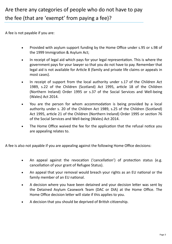A fee is not payable if you are:

- Provided with asylum support funding by the Home Office under s.95 or s.98 of the 1999 Immigration & Asylum Act;
- In receipt of legal aid which pays for your legal representation. This is where the government pays for your lawyer so that you do not have to pay. Remember that legal aid is not available for Article 8 (family and private life claims or appeals in most cases).
- In receipt of support from the local authority under s.17 of the Children Act 1989, s.22 of the Children (Scotland) Act 1995, article 18 of the Children (Northern Ireland) Order 1995 or s.37 of the Social Services and Well-being (Wales) Act 2014.
- You are the person for whom accommodation is being provided by a local authority under s. 20 of the Children Act 1989, s.25 of the Children (Scotland) Act 1995, article 21 of the Children (Northern Ireland) Order 1995 or section 76 of the Social Services and Well-being (Wales) Act 2014.
- The Home Office waived the fee for the application that the refusal notice you are appealing relates to.

A fee is also not payable if you are appealing against the following Home Office decisions:

- An appeal against the revocation ('cancellation') of protection status (e.g. cancellation of your grant of Refugee Status).
- An appeal that your removal would breach your rights as an EU national or the family member of an EU national.
- A decision where you have been detained and your decision letter was sent by the Detained Asylum Casework Team (DAC or DIA) at the Home Office. The Home Office decision letter will state if this applies to you.
- A decision that you should be deprived of British citizenship.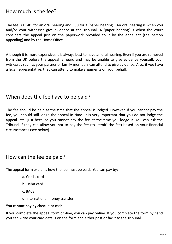The fee is £140 for an oral hearing and £80 for a 'paper hearing'. An oral hearing is when you and/or your witnesses give evidence at the Tribunal. A 'paper hearing' is when the court considers the appeal just on the paperwork provided to it by the appellant (the person appealing) and by the Home Office.

Although it is more expensive, it is always best to have an oral hearing. Even if you are removed from the UK before the appeal is heard and may be unable to give evidence yourself, your witnesses such as your partner or family members can attend to give evidence. Also, if you have a legal representative, they can attend to make arguments on your behalf.

### When does the fee have to be paid?

The fee should be paid at the time that the appeal is lodged. However, if you cannot pay the fee, you should still lodge the appeal in time. It is very important that you do not lodge the appeal late, just because you cannot pay the fee at the time you lodge it. You can ask the Tribunal if they can allow you not to pay the fee (to 'remit' the fee) based on your financial circumstances (see below).

### How can the fee be paid?

The appeal form explains how the fee must be paid. You can pay by:

- a. Credit card
- b. Debit card
- c. BACS
- d. International money transfer

### **You cannot pay by cheque or cash.**

If you complete the appeal form on-line, you can pay online. If you complete the form by hand you can write your card details on the form and either post or fax it to the Tribunal.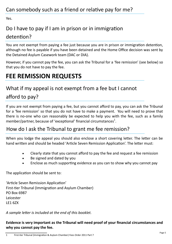Yes.

# Do I have to pay if I am in prison or in immigration

### detention?

You are not exempt from paying a fee just because you are in prison or immigration detention, although no fee is payable if you have been detained and the Home Office decision was sent by the Detained Asylum Casework team (DAC or DIA).

However, if you cannot pay the fee, you can ask the Tribunal for a 'fee remission' (see below) so that you do not have to pay the fee.

# **FEE REMISSION REQUESTS**

## What if my appeal is not exempt from a fee but I cannot

# afford to pay?

If you are not exempt from paying a fee, but you cannot afford to pay, you can ask the Tribunal for a 'fee remission' so that you do not have to make a payment. You will need to prove that there is no-one who can reasonably be expected to help you with the fee, such as a family member/partner, because of 'exceptional' financial circumstances $^1$ .

## How do I ask the Tribunal to grant me fee remission?

When you lodge the appeal you should also enclose a short covering letter. The letter can be hand written and should be headed 'Article Seven Remission Application'. The letter must:

- Clearly state that you cannot afford to pay the fee and request a fee remission
- Be signed and dated by you
- Enclose as much supporting evidence as you can to show why you cannot pay

The application should be sent to:

'Article Seven Remission Application' First-tier Tribunal (Immigration and Asylum Chamber) PO Box 6987 Leicester LE1 6ZX

*A sample letter is included at the end of this booklet.*

### **Evidence is very important as the Tribunal will need proof of your financial circumstances and why you cannot pay the fee.**

<sup>1</sup> First-tier Tribunal (Immigration & Asylum Chamber) Fees Order 2011 Part 7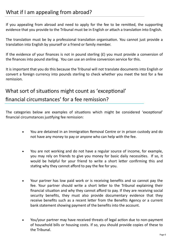## What if I am appealing from abroad?

If you appealing from abroad and need to apply for the fee to be remitted, the supporting evidence that you provide to the Tribunal must be in English or attach a translation into English.

The translation must be by a professional translation organisation. You cannot just provide a translation into English by yourself or a friend or family member.

If the evidence of your finances is not in pound sterling  $(E)$  you must provide a conversion of the finances into pound sterling. You can use an online conversion service for this.

It is important that you do this because the Tribunal will not translate documents into English or convert a foreign currency into pounds sterling to check whether you meet the test for a fee remission.

# What sort of situations might count as 'exceptional'

financial circumstances' for a fee remission?

The categories below are examples of situations which might be considered 'exceptional' financial circumstances justifying fee remission:

- You are detained in an Immigration Removal Centre or in prison custody and do not have any money to pay or anyone who can help with the fee.
- You are not working and do not have a regular source of income, for example, you may rely on friends to give you money for basic daily necessities. If so, it would be helpful for your friend to write a short letter confirming this and stating why they cannot afford to pay the fee for you.
- Your partner has low paid work or is receiving benefits and so cannot pay the fee. Your partner should write a short letter to the Tribunal explaining their financial situation and why they cannot afford to pay. If they are receiving social security benefits, they must also provide documentary evidence that they receive benefits such as a recent letter from the Benefits Agency or a current bank statement showing payment of the benefits into the account.
- You/your partner may have received threats of legal action due to non-payment of household bills or housing costs. If so, you should provide copies of these to the Tribunal.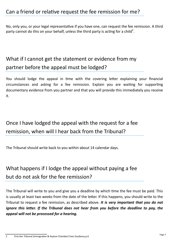No, only you, or your legal representative if you have one, can request the fee remission. A third party cannot do this on your behalf, unless the third party is acting for a child<sup>2</sup>.

# What if I cannot get the statement or evidence from my partner before the appeal must be lodged?

You should lodge the appeal in time with the covering letter explaining your financial circumstances and asking for a fee remission. Explain you are waiting for supporting documentary evidence from you partner and that you will provide this immediately you receive it.

# Once I have lodged the appeal with the request for a fee remission, when will I hear back from the Tribunal?

The Tribunal should write back to you within about 14 calendar days.

# What happens if I lodge the appeal without paying a fee but do not ask for the fee remission?

The Tribunal will write to you and give you a deadline by which time the fee must be paid. This is usually at least two weeks from the date of the letter. If this happens, you should write to the Tribunal to request a fee remission, as described above. *It is very important that you do not ignore this letter. If the Tribunal does not hear from you before the deadline to pay, the appeal will not be processed for a hearing.*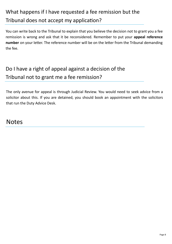# What happens if I have requested a fee remission but the Tribunal does not accept my application?

You can write back to the Tribunal to explain that you believe the decision not to grant you a fee remission is wrong and ask that it be reconsidered. Remember to put your **appeal reference number** on your letter. The reference number will be on the letter from the Tribunal demanding the fee.

# Do I have a right of appeal against a decision of the Tribunal not to grant me a fee remission?

The only avenue for appeal is through Judicial Review. You would need to seek advice from a solicitor about this. If you are detained, you should book an appointment with the solicitors that run the Duty Advice Desk.

# **Notes**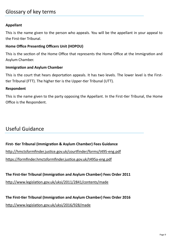### Glossary of key terms

### **Appellant**

This is the name given to the person who appeals. You will be the appellant in your appeal to the First-tier Tribunal.

#### **Home Office Presenting Officers Unit (HOPOU)**

This is the section of the Home Office that represents the Home Office at the Immigration and Asylum Chamber.

#### **Immigration and Asylum Chamber**

This is the court that hears deportation appeals. It has two levels. The lower level is the Firsttier Tribunal (FTT). The higher tier is the Upper-tier Tribunal (UTT).

#### **Respondent**

This is the name given to the party opposing the Appellant. In the First-tier Tribunal, the Home Office is the Respondent.

### Useful Guidance

### **First- tier Tribunal (Immigration & Asylum Chamber) Fees Guidance**

http://hmctsformfinder.justice.gov.uk/courtfinder/forms/t495-eng.pdf

https://formfinder.hmctsformfinder.justice.gov.uk/t495a-eng.pdf

**The First-tier Tribunal (Immigration and Asylum Chamber) Fees Order 2011**

http://www.legislation.gov.uk/uksi/2011/2841/contents/made

**The First-tier Tribunal (Immigration and Asylum Chamber) Fees Order 2016** http://www.legislation.gov.uk/uksi/2016/928/made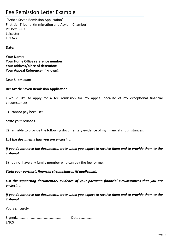### Fee Remission Letter Example

'Article Seven Remission Application' First-tier Tribunal (Immigration and Asylum Chamber) PO Box 6987 Leicester LE1 6ZX

**Date:**

**Your Name: Your Home Office reference number: Your address/place of detention: Your Appeal Reference (if known):**

Dear Sir/Madam

#### **Re: Article Seven Remission Application**

I would like to apply for a fee remission for my appeal because of my exceptional financial circumstances.

1) I cannot pay because:

#### *State your reasons.*

2) I am able to provide the following documentary evidence of my financial circumstances:

#### *List the documents that you are enclosing.*

*If you do not have the documents, state when you expect to receive them and to provide them to the Tribunal.*

3) I do not have any family member who can pay the fee for me.

*State your partner's financial circumstances (If applicable).*

*List the supporting documentary evidence of your partner's financial circumstances that you are enclosing.*

*If you do not have the documents, state when you expect to receive them and to provide them to the Tribunal.*

Yours sincerely

|             | Dated |
|-------------|-------|
| <b>ENCS</b> |       |